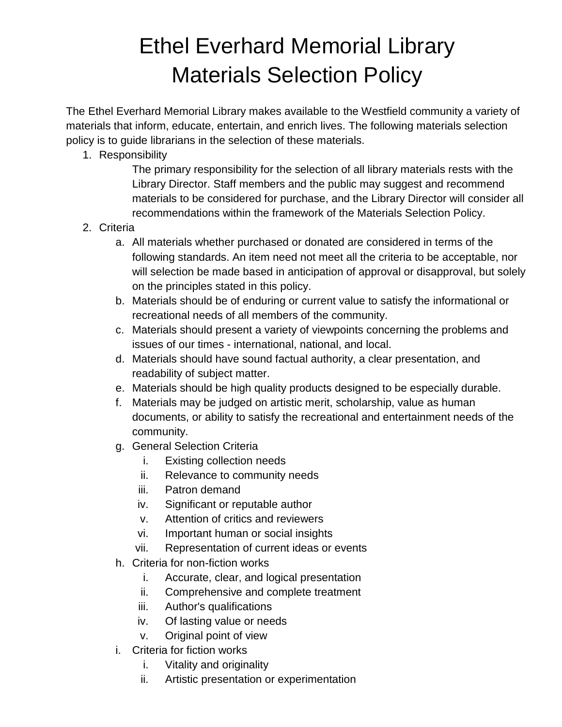## Ethel Everhard Memorial Library Materials Selection Policy

The Ethel Everhard Memorial Library makes available to the Westfield community a variety of materials that inform, educate, entertain, and enrich lives. The following materials selection policy is to guide librarians in the selection of these materials.

1. Responsibility

The primary responsibility for the selection of all library materials rests with the Library Director. Staff members and the public may suggest and recommend materials to be considered for purchase, and the Library Director will consider all recommendations within the framework of the Materials Selection Policy.

- 2. Criteria
	- a. All materials whether purchased or donated are considered in terms of the following standards. An item need not meet all the criteria to be acceptable, nor will selection be made based in anticipation of approval or disapproval, but solely on the principles stated in this policy.
	- b. Materials should be of enduring or current value to satisfy the informational or recreational needs of all members of the community.
	- c. Materials should present a variety of viewpoints concerning the problems and issues of our times - international, national, and local.
	- d. Materials should have sound factual authority, a clear presentation, and readability of subject matter.
	- e. Materials should be high quality products designed to be especially durable.
	- f. Materials may be judged on artistic merit, scholarship, value as human documents, or ability to satisfy the recreational and entertainment needs of the community.
	- g. General Selection Criteria
		- i. Existing collection needs
		- ii. Relevance to community needs
		- iii. Patron demand
		- iv. Significant or reputable author
		- v. Attention of critics and reviewers
		- vi. Important human or social insights
		- vii. Representation of current ideas or events
	- h. Criteria for non-fiction works
		- i. Accurate, clear, and logical presentation
		- ii. Comprehensive and complete treatment
		- iii. Author's qualifications
		- iv. Of lasting value or needs
		- v. Original point of view
	- i. Criteria for fiction works
		- i. Vitality and originality
		- ii. Artistic presentation or experimentation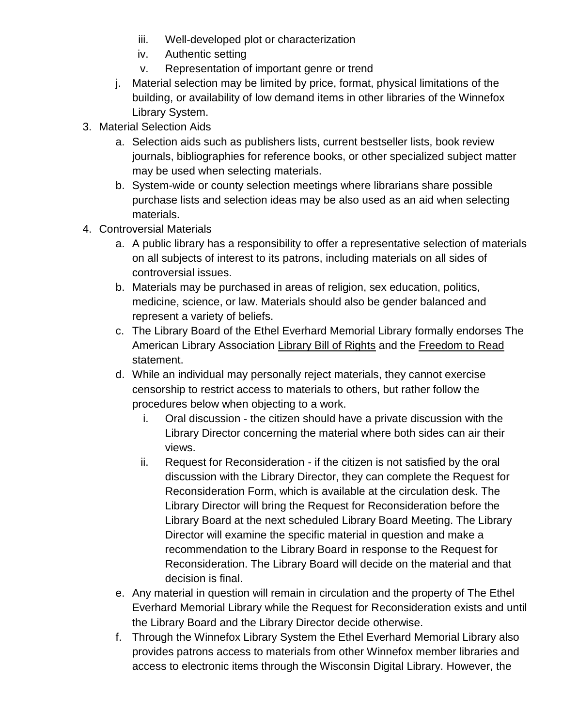- iii. Well-developed plot or characterization
- iv. Authentic setting
- v. Representation of important genre or trend
- j. Material selection may be limited by price, format, physical limitations of the building, or availability of low demand items in other libraries of the Winnefox Library System.
- 3. Material Selection Aids
	- a. Selection aids such as publishers lists, current bestseller lists, book review journals, bibliographies for reference books, or other specialized subject matter may be used when selecting materials.
	- b. System-wide or county selection meetings where librarians share possible purchase lists and selection ideas may be also used as an aid when selecting materials.
- 4. Controversial Materials
	- a. A public library has a responsibility to offer a representative selection of materials on all subjects of interest to its patrons, including materials on all sides of controversial issues.
	- b. Materials may be purchased in areas of religion, sex education, politics, medicine, science, or law. Materials should also be gender balanced and represent a variety of beliefs.
	- c. The Library Board of the Ethel Everhard Memorial Library formally endorses The American Library Association Library Bill of Rights and the Freedom to Read statement.
	- d. While an individual may personally reject materials, they cannot exercise censorship to restrict access to materials to others, but rather follow the procedures below when objecting to a work.
		- i. Oral discussion the citizen should have a private discussion with the Library Director concerning the material where both sides can air their views.
		- ii. Request for Reconsideration if the citizen is not satisfied by the oral discussion with the Library Director, they can complete the Request for Reconsideration Form, which is available at the circulation desk. The Library Director will bring the Request for Reconsideration before the Library Board at the next scheduled Library Board Meeting. The Library Director will examine the specific material in question and make a recommendation to the Library Board in response to the Request for Reconsideration. The Library Board will decide on the material and that decision is final.
	- e. Any material in question will remain in circulation and the property of The Ethel Everhard Memorial Library while the Request for Reconsideration exists and until the Library Board and the Library Director decide otherwise.
	- f. Through the Winnefox Library System the Ethel Everhard Memorial Library also provides patrons access to materials from other Winnefox member libraries and access to electronic items through the Wisconsin Digital Library. However, the